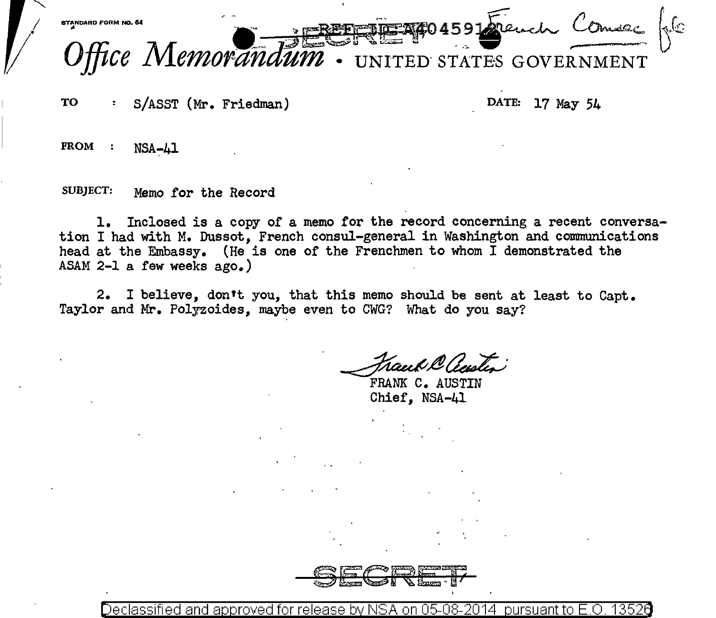

TO S/ASST (Mr. Friedman) DATE: 17 May 54

 $FROM :$  NSA-41

SUBJECT: Memo for the Record

1. Inclosed is a copy of a memo for the record concerning a recent conversation I had with M. Dussot, French consul-general in Washington and communications head at the Embassy. (He is one of the Frenchmen to whom I demonstrated the ASAM 2-1 a few weeks ago.)

2. I believe, don't you, that this memo should be sent at least to Capt. Taylor and Mr. Polyzoides, maybe even to CWG? What do you say?

Frank C. AUSTIN

Chief, NSA-41

SECRE"L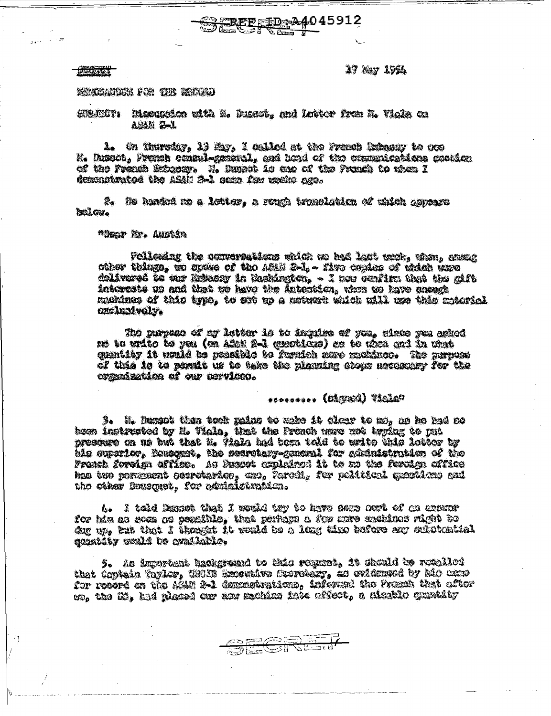17 Nay 1921

#### 2233333

## Mexican home to the Report

# SUAJICT: Discussion with N. Dussot, and Lottor from M. Viola on ASAM 2-1

1. On Thursday, 19 May, I called at the Prench Habacay to oce N. Dussot, Fronsh consul-general, and hoad of the communications contion of the Preach Extuesy. U. Dueset is and of the Prunch to them I deconstrated the ASAN 2-1 sems fou weeks ago.

**EREE ED: 24045912** 

2. He handed me a lotter, a rough translation of which appears belor.

### \*Dear M. Austin

Fellendag the convertigations which no had last noch. when, great other things, we opeke of the ASMN 2-1, - five conden of which were dolivered to our Ratecay in Rachington, - I now confirm that the gift interests us and that we have the Intention, when to have energy machines of this type, to set up a network which will use this motorial exclusively.

The purpose of my letter is to impuire of you, cince you ashed no to urito to yea (en allam 2-1 questions) as to them and in that cuentity it would be ressible to furaion sere mechines. The mayone of this is to pormit us to take the nlaming chops mechanny for the organization of our pervicen.

# **Calcaly (pageal)** essesse

3. M. Dungot then took pains to make it clony to me, as he had so bom instructed by H. Viala, that the French were not typing to put presoure on us but that M. Viala had born told to write this letter by his superior, Bossenct, the secretary-general for seninistration of the Franch foreign affice. As Duscot explaised it to an the forsion office has two permasses georstaries, eno, Parcil, for political geostions and the other Deusquet, for administration.

4. I told Dancot that I would try to have sere ourt of ca expanr for hin as soon oo possible, that perhops a for more mechinos might bo dug up, but that I thought it would be a long time bafere eny outstantiel cumbity would be available.

5. As important background to this request, it should be recalled that Coptain Taylor, USUB Executive Scoretary, as ovidenged by also mano for record on the AGM 2-1 dependerations, informed the Premah that after ro, the H3, ked placed our and mechine ises offert, a nituble quatity

SECRET